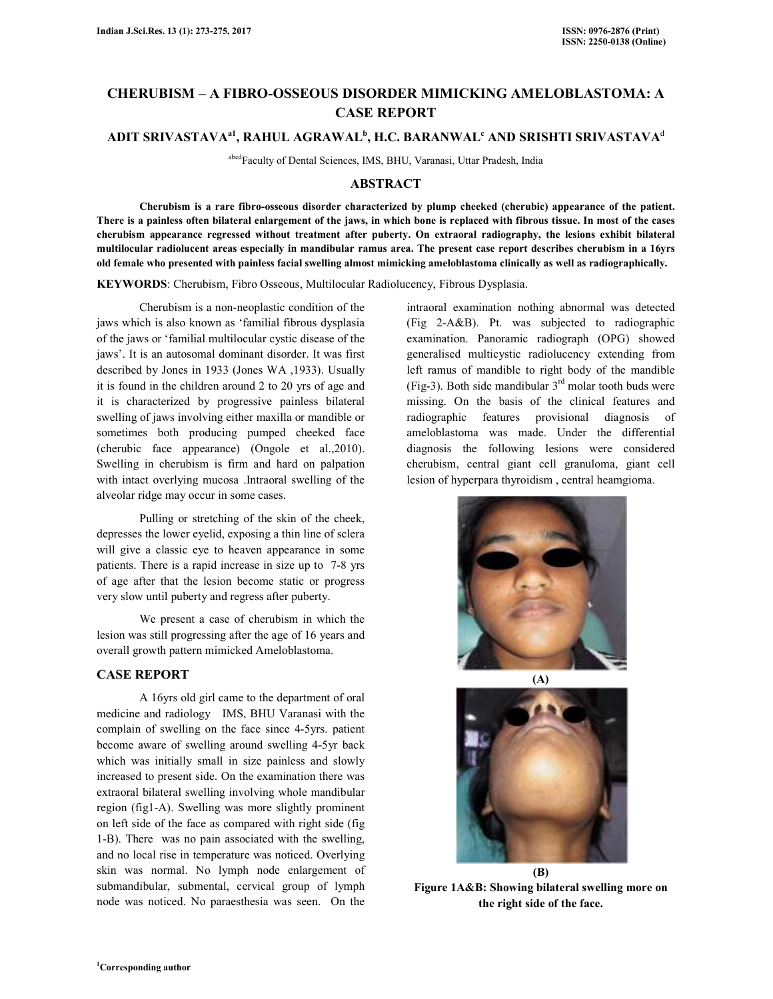# **CHERUBISM – A FIBRO-OSSEOUS DISORDER MIMICKING AMELOBLASTOMA: A CASE REPORT**

## **ADIT SRIVASTAVAa1, RAHUL AGRAWAL<sup>b</sup> , H.C. BARANWAL<sup>c</sup> AND SRISHTI SRIVASTAVA**<sup>d</sup>

abcdFaculty of Dental Sciences, IMS, BHU, Varanasi, Uttar Pradesh, India

## **ABSTRACT**

 **Cherubism is a rare fibro-osseous disorder characterized by plump cheeked (cherubic) appearance of the patient. There is a painless often bilateral enlargement of the jaws, in which bone is replaced with fibrous tissue. In most of the cases cherubism appearance regressed without treatment after puberty. On extraoral radiography, the lesions exhibit bilateral multilocular radiolucent areas especially in mandibular ramus area. The present case report describes cherubism in a 16yrs old female who presented with painless facial swelling almost mimicking ameloblastoma clinically as well as radiographically.** 

**KEYWORDS**: Cherubism, Fibro Osseous, Multilocular Radiolucency, Fibrous Dysplasia.

 Cherubism is a non-neoplastic condition of the jaws which is also known as 'familial fibrous dysplasia of the jaws or 'familial multilocular cystic disease of the jaws'. It is an autosomal dominant disorder. It was first described by Jones in 1933 (Jones WA ,1933). Usually it is found in the children around 2 to 20 yrs of age and it is characterized by progressive painless bilateral swelling of jaws involving either maxilla or mandible or sometimes both producing pumped cheeked face (cherubic face appearance) (Ongole et al.,2010). Swelling in cherubism is firm and hard on palpation with intact overlying mucosa .Intraoral swelling of the alveolar ridge may occur in some cases.

 Pulling or stretching of the skin of the cheek, depresses the lower eyelid, exposing a thin line of sclera will give a classic eye to heaven appearance in some patients. There is a rapid increase in size up to 7-8 yrs of age after that the lesion become static or progress very slow until puberty and regress after puberty.

 We present a case of cherubism in which the lesion was still progressing after the age of 16 years and overall growth pattern mimicked Ameloblastoma.

### **CASE REPORT**

 A 16yrs old girl came to the department of oral medicine and radiology IMS, BHU Varanasi with the complain of swelling on the face since 4-5yrs. patient become aware of swelling around swelling 4-5yr back which was initially small in size painless and slowly increased to present side. On the examination there was extraoral bilateral swelling involving whole mandibular region (fig1-A). Swelling was more slightly prominent on left side of the face as compared with right side (fig 1-B). There was no pain associated with the swelling, and no local rise in temperature was noticed. Overlying skin was normal. No lymph node enlargement of submandibular, submental, cervical group of lymph node was noticed. No paraesthesia was seen. On the

intraoral examination nothing abnormal was detected (Fig 2-A&B). Pt. was subjected to radiographic examination. Panoramic radiograph (OPG) showed generalised multicystic radiolucency extending from left ramus of mandible to right body of the mandible (Fig-3). Both side mandibular  $3<sup>rd</sup>$  molar tooth buds were missing. On the basis of the clinical features and radiographic features provisional diagnosis of ameloblastoma was made. Under the differential diagnosis the following lesions were considered cherubism, central giant cell granuloma, giant cell lesion of hyperpara thyroidism , central heamgioma.





**(B) Figure 1A&B: Showing bilateral swelling more on the right side of the face.**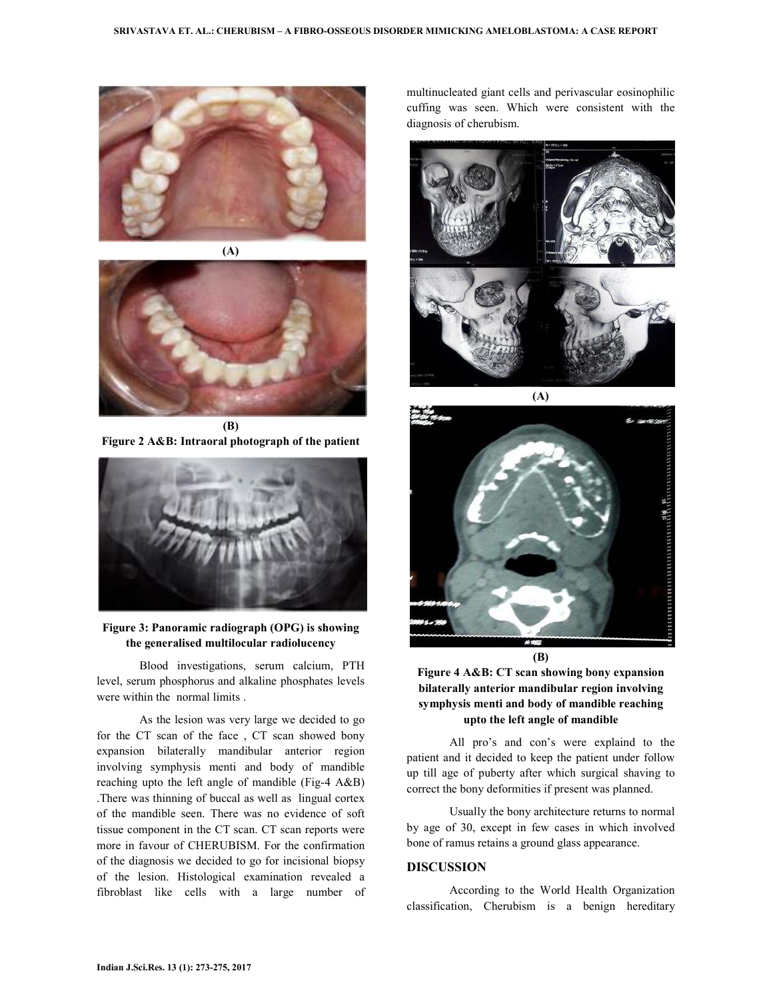



**Figure 2 A&B: Intraoral photograph of the patient** 



**Figure 3: Panoramic radiograph (OPG) is showing the generalised multilocular radiolucency** 

 Blood investigations, serum calcium, PTH level, serum phosphorus and alkaline phosphates levels were within the normal limits .

 As the lesion was very large we decided to go for the CT scan of the face , CT scan showed bony expansion bilaterally mandibular anterior region involving symphysis menti and body of mandible reaching upto the left angle of mandible (Fig-4 A&B) .There was thinning of buccal as well as lingual cortex of the mandible seen. There was no evidence of soft tissue component in the CT scan. CT scan reports were more in favour of CHERUBISM. For the confirmation of the diagnosis we decided to go for incisional biopsy of the lesion. Histological examination revealed a fibroblast like cells with a large number of multinucleated giant cells and perivascular eosinophilic cuffing was seen. Which were consistent with the diagnosis of cherubism.





**Figure 4 A&B: CT scan showing bony expansion bilaterally anterior mandibular region involving symphysis menti and body of mandible reaching upto the left angle of mandible** 

 All pro's and con's were explaind to the patient and it decided to keep the patient under follow up till age of puberty after which surgical shaving to correct the bony deformities if present was planned.

 Usually the bony architecture returns to normal by age of 30, except in few cases in which involved bone of ramus retains a ground glass appearance.

## **DISCUSSION**

 According to the World Health Organization classification, Cherubism is a benign hereditary